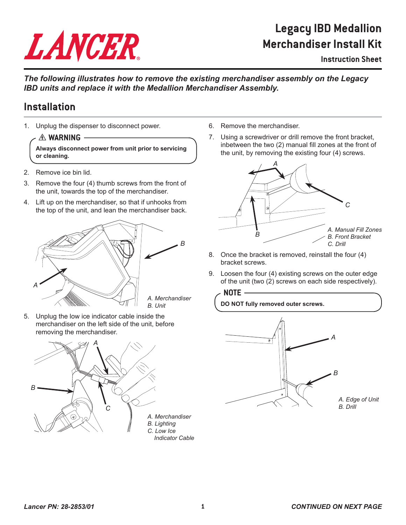# LANCER

## **Legacy IBD Medallion Merchandiser Install Kit**

## **Instruction Sheet**

*The following illustrates how to remove the existing merchandiser assembly on the Legacy IBD units and replace it with the Medallion Merchandiser Assembly.* 

## **Installation**

1. Unplug the dispenser to disconnect power.

## $\triangle$  WARNING -

**Always disconnect power from unit prior to servicing or cleaning.**

- 2. Remove ice bin lid.
- 3. Remove the four (4) thumb screws from the front of the unit, towards the top of the merchandiser.
- 4. Lift up on the merchandiser, so that if unhooks from the top of the unit, and lean the merchandiser back.



5. Unplug the low ice indicator cable inside the merchandiser on the left side of the unit, before removing the merchandiser.



- 6. Remove the merchandiser.
- 7. Using a screwdriver or drill remove the front bracket, inbetween the two (2) manual fill zones at the front of the unit, by removing the existing four (4) screws.



- 8. Once the bracket is removed, reinstall the four (4) bracket screws.
- 9. Loosen the four (4) existing screws on the outer edge of the unit (two (2) screws on each side respectively).